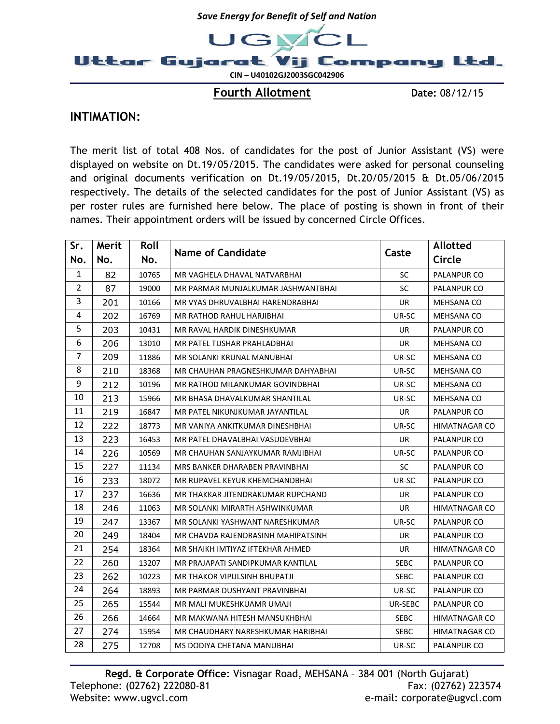

Fourth Allotment Date: 08/12/15

## INTIMATION:

The merit list of total 408 Nos. of candidates for the post of Junior Assistant (VS) were displayed on website on Dt.19/05/2015. The candidates were asked for personal counseling and original documents verification on Dt.19/05/2015, Dt.20/05/2015 & Dt.05/06/2015 respectively. The details of the selected candidates for the post of Junior Assistant (VS) as per roster rules are furnished here below. The place of posting is shown in front of their names. Their appointment orders will be issued by concerned Circle Offices.

| Sr.            | Merit | Roll  | <b>Name of Candidate</b>           | Caste       | <b>Allotted</b>      |
|----------------|-------|-------|------------------------------------|-------------|----------------------|
| No.            | No.   | No.   |                                    |             | Circle               |
| 1              | 82    | 10765 | MR VAGHELA DHAVAL NATVARBHAI       | <b>SC</b>   | PALANPUR CO          |
| $\overline{2}$ | 87    | 19000 | MR PARMAR MUNJALKUMAR JASHWANTBHAI | SC          | PALANPUR CO          |
| 3              | 201   | 10166 | MR VYAS DHRUVALBHAI HARENDRABHAI   | UR          | MEHSANA CO           |
| 4              | 202   | 16769 | MR RATHOD RAHUL HARJIBHAI          | UR-SC       | MEHSANA CO           |
| 5              | 203   | 10431 | MR RAVAL HARDIK DINESHKUMAR        | UR.         | PALANPUR CO          |
| 6              | 206   | 13010 | MR PATEL TUSHAR PRAHLADBHAI        | UR          | MEHSANA CO           |
| $\overline{7}$ | 209   | 11886 | MR SOLANKI KRUNAL MANUBHAI         | UR-SC       | MEHSANA CO           |
| 8              | 210   | 18368 | MR CHAUHAN PRAGNESHKUMAR DAHYABHAI | UR-SC       | MEHSANA CO           |
| 9              | 212   | 10196 | MR RATHOD MILANKUMAR GOVINDBHAI    | UR-SC       | MEHSANA CO           |
| 10             | 213   | 15966 | MR BHASA DHAVALKUMAR SHANTILAL     | UR-SC       | <b>MEHSANA CO</b>    |
| 11             | 219   | 16847 | MR PATEL NIKUNJKUMAR JAYANTILAL    | UR.         | PALANPUR CO          |
| 12             | 222   | 18773 | MR VANIYA ANKITKUMAR DINESHBHAI    | UR-SC       | <b>HIMATNAGAR CO</b> |
| 13             | 223   | 16453 | MR PATEL DHAVALBHAI VASUDEVBHAI    | UR.         | PALANPUR CO          |
| 14             | 226   | 10569 | MR CHAUHAN SANJAYKUMAR RAMJIBHAI   | UR-SC       | PALANPUR CO          |
| 15             | 227   | 11134 | MRS BANKER DHARABEN PRAVINBHAI     | SC          | PALANPUR CO          |
| 16             | 233   | 18072 | MR RUPAVEL KEYUR KHEMCHANDBHAI     | UR-SC       | PALANPUR CO          |
| 17             | 237   | 16636 | MR THAKKAR JITENDRAKUMAR RUPCHAND  | UR.         | PALANPUR CO          |
| 18             | 246   | 11063 | MR SOLANKI MIRARTH ASHWINKUMAR     | UR          | <b>HIMATNAGAR CO</b> |
| 19             | 247   | 13367 | MR SOLANKI YASHWANT NARESHKUMAR    | UR-SC       | PALANPUR CO          |
| 20             | 249   | 18404 | MR CHAVDA RAJENDRASINH MAHIPATSINH | UR.         | PALANPUR CO          |
| 21             | 254   | 18364 | MR SHAIKH IMTIYAZ IFTEKHAR AHMED   | UR          | <b>HIMATNAGAR CO</b> |
| 22             | 260   | 13207 | MR PRAJAPATI SANDIPKUMAR KANTILAL  | <b>SEBC</b> | PALANPUR CO          |
| 23             | 262   | 10223 | MR THAKOR VIPULSINH BHUPATJI       | <b>SEBC</b> | PALANPUR CO          |
| 24             | 264   | 18893 | MR PARMAR DUSHYANT PRAVINBHAI      | UR-SC       | PALANPUR CO          |
| 25             | 265   | 15544 | MR MALI MUKESHKUAMR UMAJI          | UR-SEBC     | PALANPUR CO          |
| 26             | 266   | 14664 | MR MAKWANA HITESH MANSUKHBHAI      | <b>SEBC</b> | HIMATNAGAR CO        |
| 27             | 274   | 15954 | MR CHAUDHARY NARESHKUMAR HARIBHAI  | SEBC        | HIMATNAGAR CO        |
| 28             | 275   | 12708 | MS DODIYA CHETANA MANUBHAI         | UR-SC       | PALANPUR CO          |

Regd. & Corporate Office: Visnagar Road, MEHSANA – 384 001 (North Gujarat) Telephone: (02762) 222080-81 Fax: (02762) 223574 Website: www.ugvcl.com e-mail: corporate@ugvcl.com